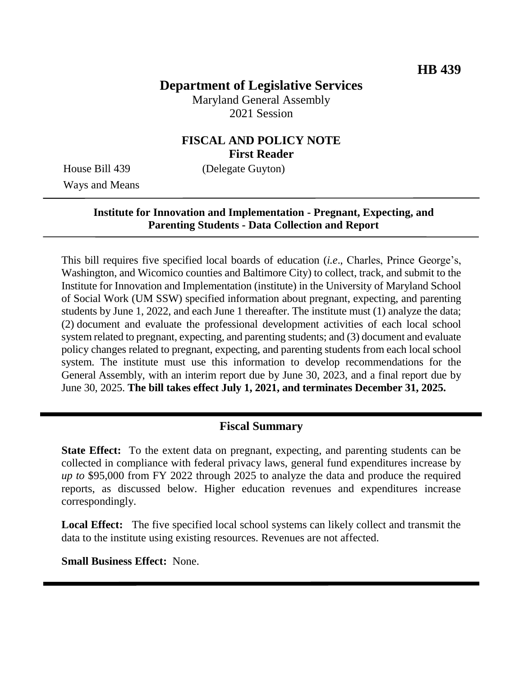# **Department of Legislative Services**

Maryland General Assembly 2021 Session

#### **FISCAL AND POLICY NOTE First Reader**

Ways and Means

House Bill 439 (Delegate Guyton)

### **Institute for Innovation and Implementation - Pregnant, Expecting, and Parenting Students - Data Collection and Report**

This bill requires five specified local boards of education (*i.e*., Charles, Prince George's, Washington, and Wicomico counties and Baltimore City) to collect, track, and submit to the Institute for Innovation and Implementation (institute) in the University of Maryland School of Social Work (UM SSW) specified information about pregnant, expecting, and parenting students by June 1, 2022, and each June 1 thereafter. The institute must (1) analyze the data; (2) document and evaluate the professional development activities of each local school system related to pregnant, expecting, and parenting students; and (3) document and evaluate policy changes related to pregnant, expecting, and parenting students from each local school system. The institute must use this information to develop recommendations for the General Assembly, with an interim report due by June 30, 2023, and a final report due by June 30, 2025. **The bill takes effect July 1, 2021, and terminates December 31, 2025.**

#### **Fiscal Summary**

**State Effect:** To the extent data on pregnant, expecting, and parenting students can be collected in compliance with federal privacy laws, general fund expenditures increase by *up to* \$95,000 from FY 2022 through 2025 to analyze the data and produce the required reports, as discussed below. Higher education revenues and expenditures increase correspondingly.

**Local Effect:** The five specified local school systems can likely collect and transmit the data to the institute using existing resources. Revenues are not affected.

**Small Business Effect:** None.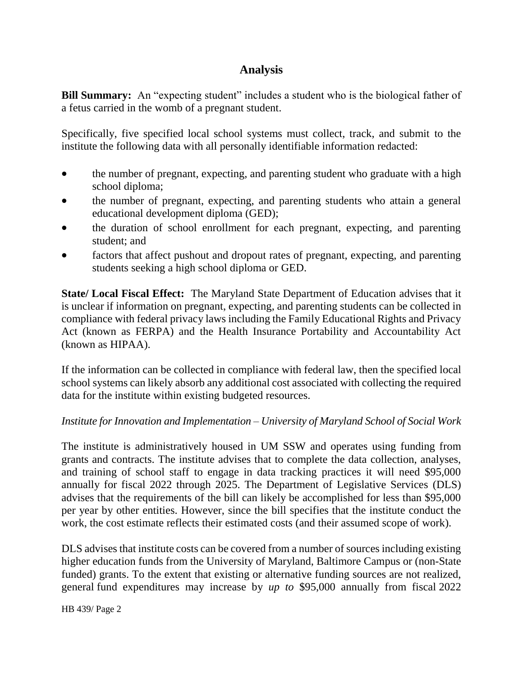# **Analysis**

**Bill Summary:** An "expecting student" includes a student who is the biological father of a fetus carried in the womb of a pregnant student.

Specifically, five specified local school systems must collect, track, and submit to the institute the following data with all personally identifiable information redacted:

- the number of pregnant, expecting, and parenting student who graduate with a high school diploma;
- the number of pregnant, expecting, and parenting students who attain a general educational development diploma (GED);
- the duration of school enrollment for each pregnant, expecting, and parenting student; and
- factors that affect pushout and dropout rates of pregnant, expecting, and parenting students seeking a high school diploma or GED.

**State/ Local Fiscal Effect:** The Maryland State Department of Education advises that it is unclear if information on pregnant, expecting, and parenting students can be collected in compliance with federal privacy laws including the Family Educational Rights and Privacy Act (known as FERPA) and the Health Insurance Portability and Accountability Act (known as HIPAA).

If the information can be collected in compliance with federal law, then the specified local school systems can likely absorb any additional cost associated with collecting the required data for the institute within existing budgeted resources.

#### *Institute for Innovation and Implementation – University of Maryland School of Social Work*

The institute is administratively housed in UM SSW and operates using funding from grants and contracts. The institute advises that to complete the data collection, analyses, and training of school staff to engage in data tracking practices it will need \$95,000 annually for fiscal 2022 through 2025. The Department of Legislative Services (DLS) advises that the requirements of the bill can likely be accomplished for less than \$95,000 per year by other entities. However, since the bill specifies that the institute conduct the work, the cost estimate reflects their estimated costs (and their assumed scope of work).

DLS advises that institute costs can be covered from a number of sources including existing higher education funds from the University of Maryland, Baltimore Campus or (non-State funded) grants. To the extent that existing or alternative funding sources are not realized, general fund expenditures may increase by *up to* \$95,000 annually from fiscal 2022